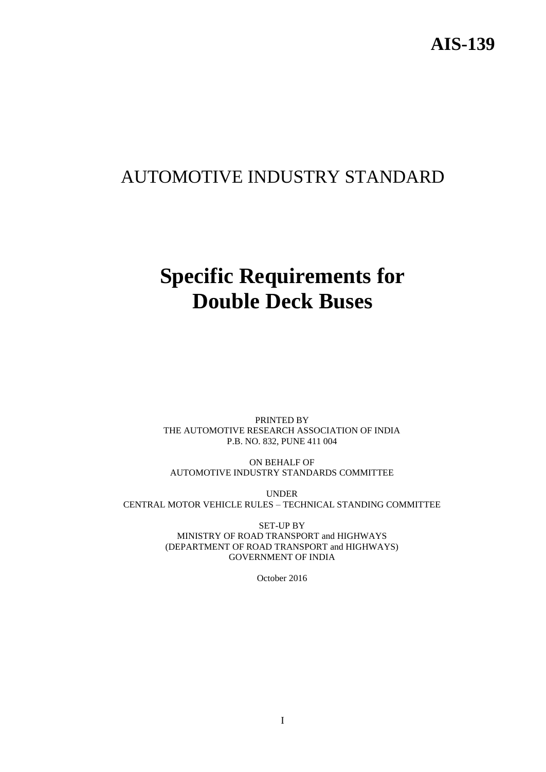## AUTOMOTIVE INDUSTRY STANDARD

# **Specific Requirements for Double Deck Buses**

PRINTED BY THE AUTOMOTIVE RESEARCH ASSOCIATION OF INDIA P.B. NO. 832, PUNE 411 004

ON BEHALF OF AUTOMOTIVE INDUSTRY STANDARDS COMMITTEE

UNDER CENTRAL MOTOR VEHICLE RULES – TECHNICAL STANDING COMMITTEE

> SET-UP BY MINISTRY OF ROAD TRANSPORT and HIGHWAYS (DEPARTMENT OF ROAD TRANSPORT and HIGHWAYS) GOVERNMENT OF INDIA

> > October 2016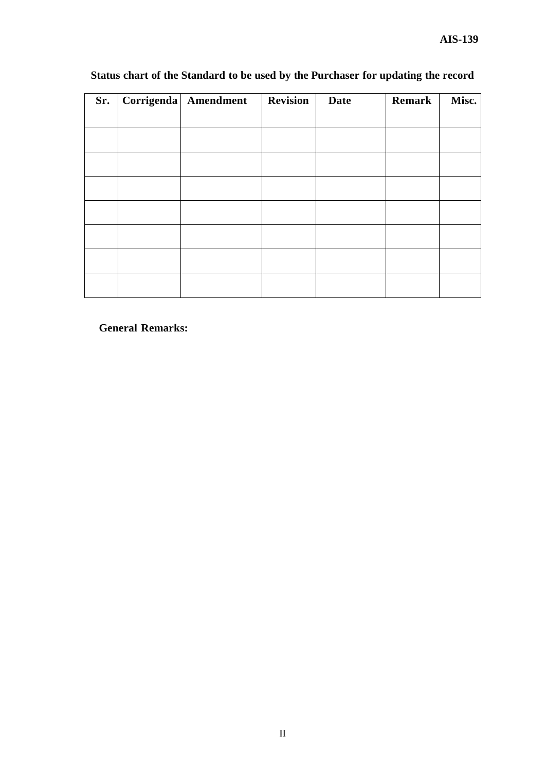| Sr. | Corrigenda Amendment | <b>Revision</b> | <b>Date</b> | Remark | Misc. |
|-----|----------------------|-----------------|-------------|--------|-------|
|     |                      |                 |             |        |       |
|     |                      |                 |             |        |       |
|     |                      |                 |             |        |       |
|     |                      |                 |             |        |       |
|     |                      |                 |             |        |       |
|     |                      |                 |             |        |       |
|     |                      |                 |             |        |       |
|     |                      |                 |             |        |       |
|     |                      |                 |             |        |       |
|     |                      |                 |             |        |       |
|     |                      |                 |             |        |       |

## **Status chart of the Standard to be used by the Purchaser for updating the record**

**General Remarks:**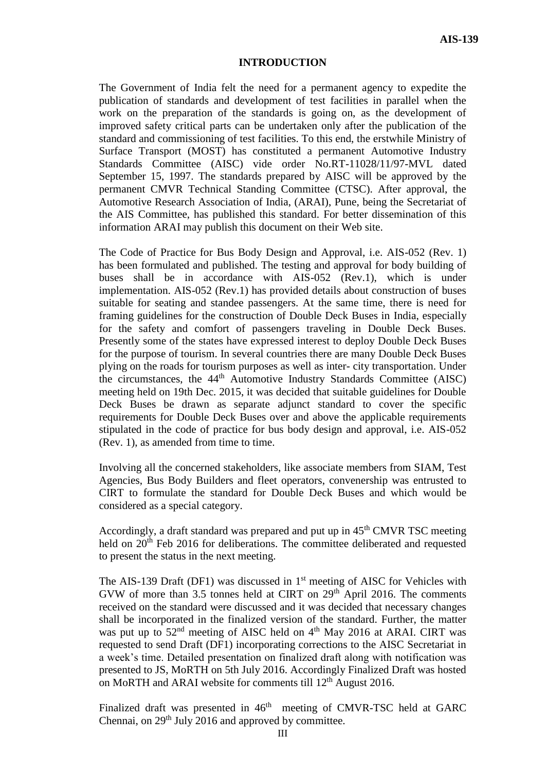#### **INTRODUCTION**

The Government of India felt the need for a permanent agency to expedite the publication of standards and development of test facilities in parallel when the work on the preparation of the standards is going on, as the development of improved safety critical parts can be undertaken only after the publication of the standard and commissioning of test facilities. To this end, the erstwhile Ministry of Surface Transport (MOST) has constituted a permanent Automotive Industry Standards Committee (AISC) vide order No.RT-11028/11/97-MVL dated September 15, 1997. The standards prepared by AISC will be approved by the permanent CMVR Technical Standing Committee (CTSC). After approval, the Automotive Research Association of India, (ARAI), Pune, being the Secretariat of the AIS Committee, has published this standard. For better dissemination of this information ARAI may publish this document on their Web site.

The Code of Practice for Bus Body Design and Approval, i.e. AIS-052 (Rev. 1) has been formulated and published. The testing and approval for body building of buses shall be in accordance with AIS-052 (Rev.1), which is under implementation. AIS-052 (Rev.1) has provided details about construction of buses suitable for seating and standee passengers. At the same time, there is need for framing guidelines for the construction of Double Deck Buses in India, especially for the safety and comfort of passengers traveling in Double Deck Buses. Presently some of the states have expressed interest to deploy Double Deck Buses for the purpose of tourism. In several countries there are many Double Deck Buses plying on the roads for tourism purposes as well as inter- city transportation. Under the circumstances, the 44th Automotive Industry Standards Committee (AISC) meeting held on 19th Dec. 2015, it was decided that suitable guidelines for Double Deck Buses be drawn as separate adjunct standard to cover the specific requirements for Double Deck Buses over and above the applicable requirements stipulated in the code of practice for bus body design and approval, i.e. AIS-052 (Rev. 1), as amended from time to time.

Involving all the concerned stakeholders, like associate members from SIAM, Test Agencies, Bus Body Builders and fleet operators, convenership was entrusted to CIRT to formulate the standard for Double Deck Buses and which would be considered as a special category.

Accordingly, a draft standard was prepared and put up in  $45<sup>th</sup>$  CMVR TSC meeting held on 20<sup>th</sup> Feb 2016 for deliberations. The committee deliberated and requested to present the status in the next meeting.

The AIS-139 Draft (DF1) was discussed in 1<sup>st</sup> meeting of AISC for Vehicles with GVW of more than 3.5 tonnes held at CIRT on 29<sup>th</sup> April 2016. The comments received on the standard were discussed and it was decided that necessary changes shall be incorporated in the finalized version of the standard. Further, the matter was put up to  $52<sup>nd</sup>$  meeting of AISC held on  $4<sup>th</sup>$  May 2016 at ARAI. CIRT was requested to send Draft (DF1) incorporating corrections to the AISC Secretariat in a week's time. Detailed presentation on finalized draft along with notification was presented to JS, MoRTH on 5th July 2016. Accordingly Finalized Draft was hosted on MoRTH and ARAI website for comments till 12<sup>th</sup> August 2016.

Finalized draft was presented in  $46<sup>th</sup>$  meeting of CMVR-TSC held at GARC Chennai, on 29<sup>th</sup> July 2016 and approved by committee.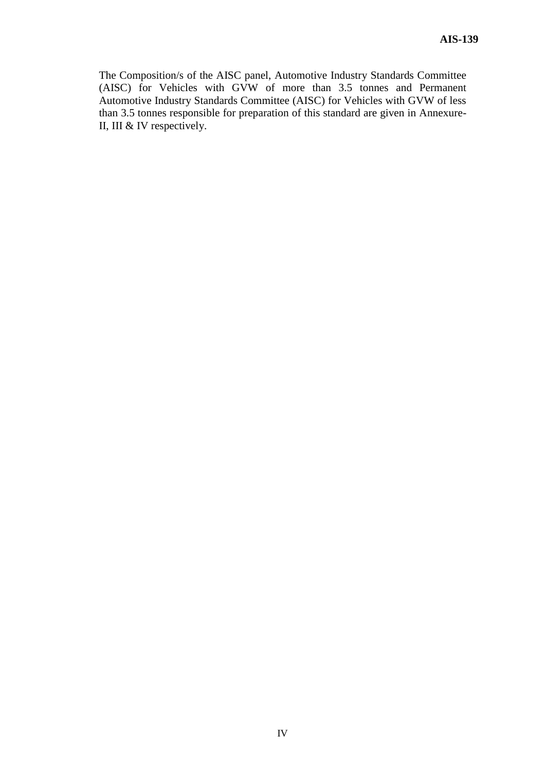The Composition/s of the AISC panel, Automotive Industry Standards Committee (AISC) for Vehicles with GVW of more than 3.5 tonnes and Permanent Automotive Industry Standards Committee (AISC) for Vehicles with GVW of less than 3.5 tonnes responsible for preparation of this standard are given in Annexure-II, III & IV respectively.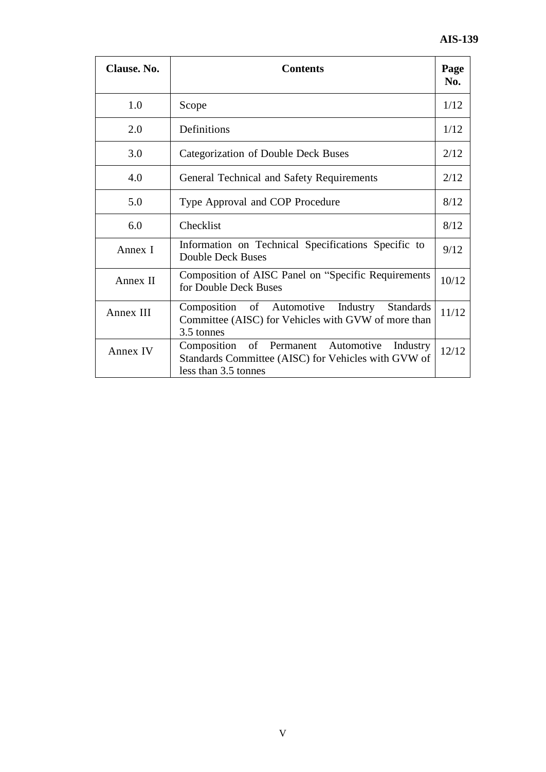| Clause. No. | <b>Contents</b>                                                                                                                |      |  |
|-------------|--------------------------------------------------------------------------------------------------------------------------------|------|--|
| 1.0         | Scope                                                                                                                          | 1/12 |  |
| 2.0         | Definitions                                                                                                                    | 1/12 |  |
| 3.0         | Categorization of Double Deck Buses                                                                                            |      |  |
| 4.0         | General Technical and Safety Requirements                                                                                      |      |  |
| 5.0         | Type Approval and COP Procedure                                                                                                |      |  |
| 6.0         | Checklist                                                                                                                      |      |  |
| Annex I     | Information on Technical Specifications Specific to<br><b>Double Deck Buses</b>                                                |      |  |
| Annex II    | Composition of AISC Panel on "Specific Requirements<br>for Double Deck Buses                                                   |      |  |
| Annex III   | Composition of Automotive Industry Standards<br>Committee (AISC) for Vehicles with GVW of more than<br>3.5 tonnes              |      |  |
| Annex IV    | Composition of Permanent Automotive<br>Industry<br>Standards Committee (AISC) for Vehicles with GVW of<br>less than 3.5 tonnes |      |  |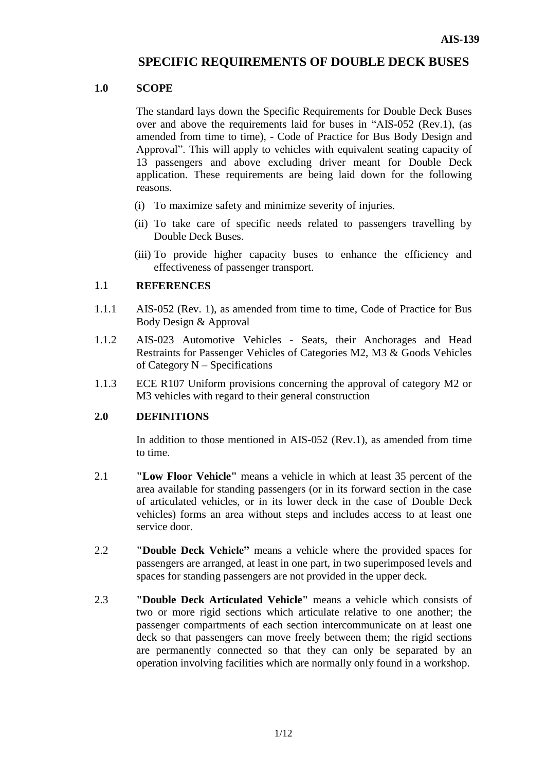## **SPECIFIC REQUIREMENTS OF DOUBLE DECK BUSES**

#### **1.0 SCOPE**

The standard lays down the Specific Requirements for Double Deck Buses over and above the requirements laid for buses in "AIS-052 (Rev.1), (as amended from time to time), - Code of Practice for Bus Body Design and Approval". This will apply to vehicles with equivalent seating capacity of 13 passengers and above excluding driver meant for Double Deck application. These requirements are being laid down for the following reasons.

- (i) To maximize safety and minimize severity of injuries.
- (ii) To take care of specific needs related to passengers travelling by Double Deck Buses.
- (iii) To provide higher capacity buses to enhance the efficiency and effectiveness of passenger transport.

#### 1.1 **REFERENCES**

- 1.1.1 AIS-052 (Rev. 1), as amended from time to time, Code of Practice for Bus Body Design & Approval
- 1.1.2 AIS-023 Automotive Vehicles Seats, their Anchorages and Head Restraints for Passenger Vehicles of Categories M2, M3 & Goods Vehicles of Category N – Specifications
- 1.1.3 ECE R107 Uniform provisions concerning the approval of category M2 or M3 vehicles with regard to their general construction

## **2.0 DEFINITIONS**

In addition to those mentioned in AIS-052 (Rev.1), as amended from time to time.

- 2.1 **"Low Floor Vehicle"** means a vehicle in which at least 35 percent of the area available for standing passengers (or in its forward section in the case of articulated vehicles, or in its lower deck in the case of Double Deck vehicles) forms an area without steps and includes access to at least one service door.
- 2.2 **"Double Deck Vehicle"** means a vehicle where the provided spaces for passengers are arranged, at least in one part, in two superimposed levels and spaces for standing passengers are not provided in the upper deck.
- 2.3 **"Double Deck Articulated Vehicle"** means a vehicle which consists of two or more rigid sections which articulate relative to one another; the passenger compartments of each section intercommunicate on at least one deck so that passengers can move freely between them; the rigid sections are permanently connected so that they can only be separated by an operation involving facilities which are normally only found in a workshop.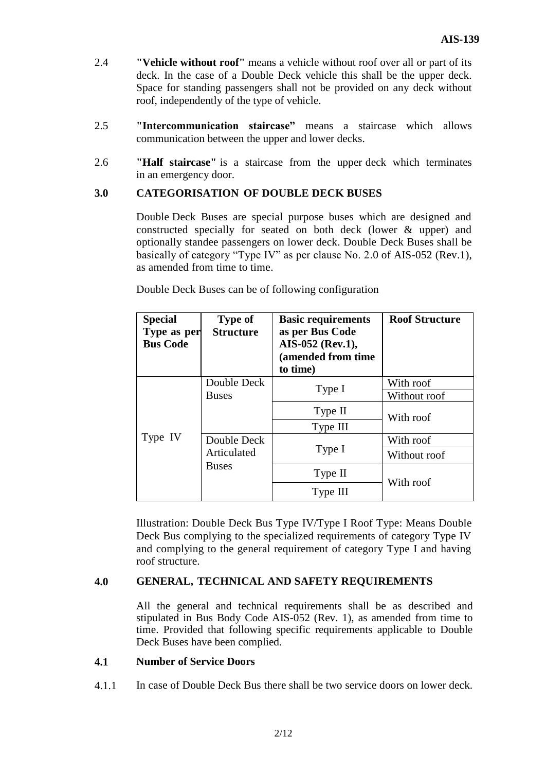- 2.4 **"Vehicle without roof"** means a vehicle without roof over all or part of its deck. In the case of a Double Deck vehicle this shall be the upper deck. Space for standing passengers shall not be provided on any deck without roof, independently of the type of vehicle.
- 2.5 **"Intercommunication staircase"** means a staircase which allows communication between the upper and lower decks.
- 2.6 **"Half staircase"** is a staircase from the upper deck which terminates in an emergency door.

#### **3.0 CATEGORISATION OF DOUBLE DECK BUSES**

Double Deck Buses are special purpose buses which are designed and constructed specially for seated on both deck (lower & upper) and optionally standee passengers on lower deck. Double Deck Buses shall be basically of category "Type IV" as per clause No. 2.0 of AIS-052 (Rev.1), as amended from time to time.

| <b>Special</b><br>Type as per<br><b>Bus Code</b> | <b>Type of</b><br><b>Structure</b>         | <b>Basic requirements</b><br>as per Bus Code<br>AIS-052 (Rev.1),<br>(amended from time<br>to time) | <b>Roof Structure</b> |  |
|--------------------------------------------------|--------------------------------------------|----------------------------------------------------------------------------------------------------|-----------------------|--|
|                                                  | Double Deck                                | Type I                                                                                             | With roof             |  |
|                                                  | <b>Buses</b>                               |                                                                                                    | Without roof          |  |
|                                                  |                                            | Type II                                                                                            | With roof             |  |
|                                                  |                                            | Type III                                                                                           |                       |  |
| Type IV                                          | Double Deck<br>Articulated<br><b>Buses</b> |                                                                                                    | With roof             |  |
|                                                  |                                            | Type I                                                                                             | Without roof          |  |
|                                                  |                                            | Type II                                                                                            |                       |  |
|                                                  |                                            | Type III                                                                                           | With roof             |  |

Double Deck Buses can be of following configuration

Illustration: Double Deck Bus Type IV/Type I Roof Type: Means Double Deck Bus complying to the specialized requirements of category Type IV and complying to the general requirement of category Type I and having roof structure.

#### **4.0 GENERAL, TECHNICAL AND SAFETY REQUIREMENTS**

All the general and technical requirements shall be as described and stipulated in Bus Body Code AIS-052 (Rev. 1), as amended from time to time. Provided that following specific requirements applicable to Double Deck Buses have been complied.

#### **4.1 Number of Service Doors**

4.1.1 In case of Double Deck Bus there shall be two service doors on lower deck.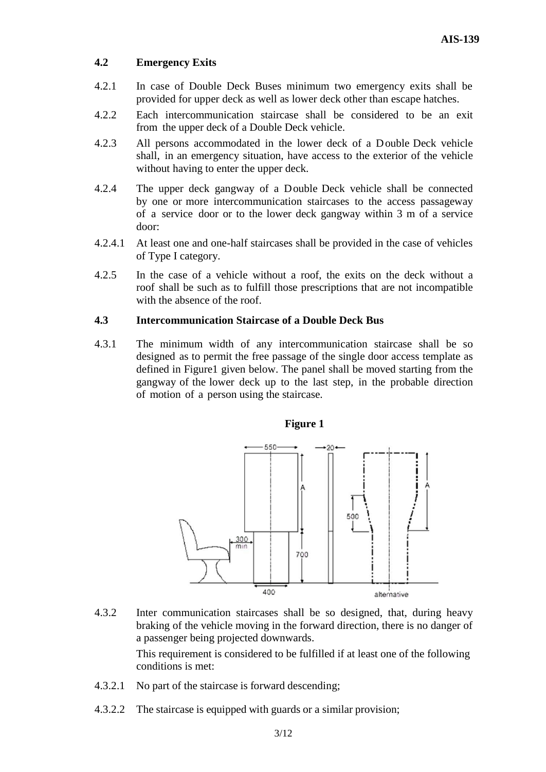#### **4.2 Emergency Exits**

- 4.2.1 In case of Double Deck Buses minimum two emergency exits shall be provided for upper deck as well as lower deck other than escape hatches.
- 4.2.2 Each intercommunication staircase shall be considered to be an exit from the upper deck of a Double Deck vehicle.
- 4.2.3 All persons accommodated in the lower deck of a Double Deck vehicle shall, in an emergency situation, have access to the exterior of the vehicle without having to enter the upper deck.
- 4.2.4 The upper deck gangway of a Double Deck vehicle shall be connected by one or more intercommunication staircases to the access passageway of a service door or to the lower deck gangway within 3 m of a service door:
- 4.2.4.1 At least one and one-half staircases shall be provided in the case of vehicles of Type I category.
- 4.2.5 In the case of a vehicle without a roof, the exits on the deck without a roof shall be such as to fulfill those prescriptions that are not incompatible with the absence of the roof.

#### **4.3 Intercommunication Staircase of a Double Deck Bus**

4.3.1 The minimum width of any intercommunication staircase shall be so designed as to permit the free passage of the single door access template as defined in Figure1 given below. The panel shall be moved starting from the gangway of the lower deck up to the last step, in the probable direction of motion of a person using the staircase.



4.3.2 Inter communication staircases shall be so designed, that, during heavy braking of the vehicle moving in the forward direction, there is no danger of a passenger being projected downwards.

> This requirement is considered to be fulfilled if at least one of the following conditions is met:

- 4.3.2.1 No part of the staircase is forward descending;
- 4.3.2.2 The staircase is equipped with guards or a similar provision;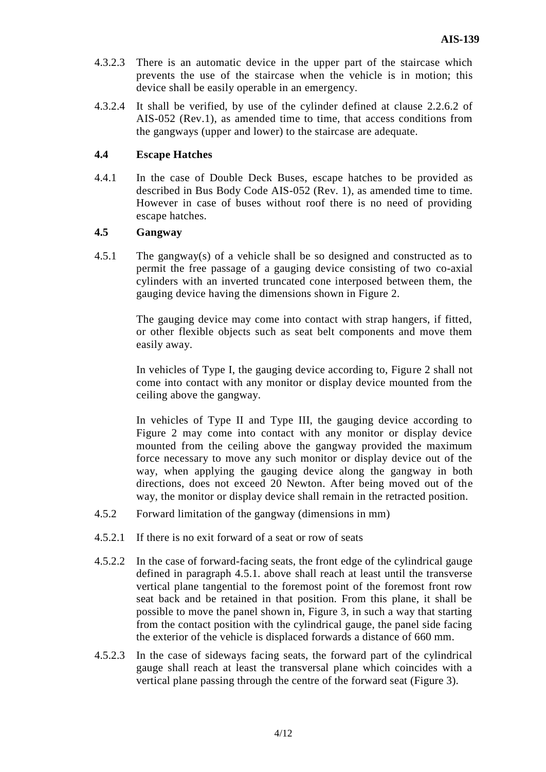- 4.3.2.3 There is an automatic device in the upper part of the staircase which prevents the use of the staircase when the vehicle is in motion; this device shall be easily operable in an emergency.
- 4.3.2.4 It shall be verified, by use of the cylinder defined at clause 2.2.6.2 of AIS-052 (Rev.1), as amended time to time, that access conditions from the gangways (upper and lower) to the staircase are adequate.

#### **4.4 Escape Hatches**

4.4.1 In the case of Double Deck Buses, escape hatches to be provided as described in Bus Body Code AIS-052 (Rev. 1), as amended time to time. However in case of buses without roof there is no need of providing escape hatches.

#### **4.5 Gangway**

4.5.1 The gangway(s) of a vehicle shall be so designed and constructed as to permit the free passage of a gauging device consisting of two co-axial cylinders with an inverted truncated cone interposed between them, the gauging device having the dimensions shown in Figure 2.

> The gauging device may come into contact with strap hangers, if fitted, or other flexible objects such as seat belt components and move them easily away.

> In vehicles of Type I, the gauging device according to, Figure 2 shall not come into contact with any monitor or display device mounted from the ceiling above the gangway.

> In vehicles of Type II and Type III, the gauging device according to Figure 2 may come into contact with any monitor or display device mounted from the ceiling above the gangway provided the maximum force necessary to move any such monitor or display device out of the way, when applying the gauging device along the gangway in both directions, does not exceed 20 Newton. After being moved out of the way, the monitor or display device shall remain in the retracted position.

- 4.5.2 Forward limitation of the gangway (dimensions in mm)
- 4.5.2.1 If there is no exit forward of a seat or row of seats
- 4.5.2.2 In the case of forward-facing seats, the front edge of the cylindrical gauge defined in paragraph 4.5.1. above shall reach at least until the transverse vertical plane tangential to the foremost point of the foremost front row seat back and be retained in that position. From this plane, it shall be possible to move the panel shown in, Figure 3, in such a way that starting from the contact position with the cylindrical gauge, the panel side facing the exterior of the vehicle is displaced forwards a distance of 660 mm.
- 4.5.2.3 In the case of sideways facing seats, the forward part of the cylindrical gauge shall reach at least the transversal plane which coincides with a vertical plane passing through the centre of the forward seat (Figure 3).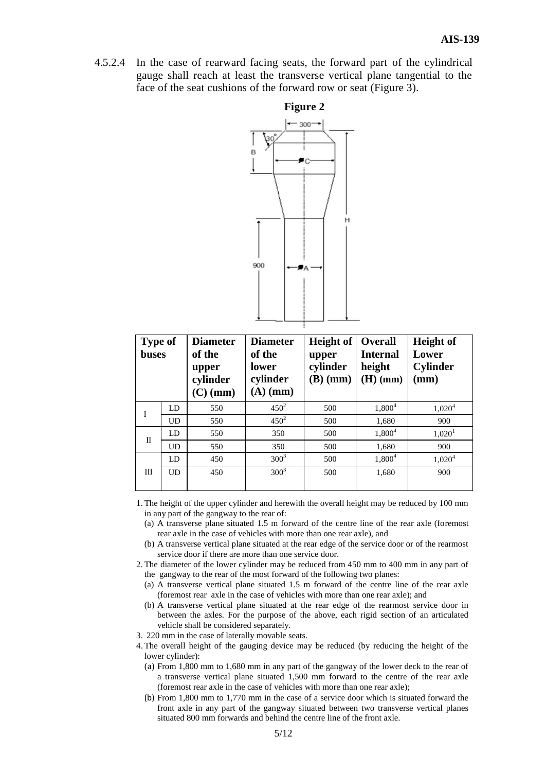4.5.2.4 In the case of rearward facing seats, the forward part of the cylindrical gauge shall reach at least the transverse vertical plane tangential to the face of the seat cushions of the forward row or seat (Figure 3).



| <b>Type of</b><br><b>buses</b> |           | <b>Diameter</b><br>of the<br>upper<br>cylinder<br>$(C)$ (mm) | <b>Diameter</b><br>of the<br>lower<br>cylinder<br>$(A)$ (mm) | Height of<br>upper<br>cylinder<br>$(B)$ (mm) | <b>Overall</b><br><b>Internal</b><br>height<br>$(H)$ (mm) | <b>Height</b> of<br>Lower<br><b>Cylinder</b><br>$(\mathbf{mm})$ |
|--------------------------------|-----------|--------------------------------------------------------------|--------------------------------------------------------------|----------------------------------------------|-----------------------------------------------------------|-----------------------------------------------------------------|
| I                              | LD        | 550                                                          | $450^2$                                                      | 500                                          | $1,800^4$                                                 | 1,020 <sup>4</sup>                                              |
|                                | <b>UD</b> | 550                                                          | $450^2$                                                      | 500                                          | 1,680                                                     | 900                                                             |
| $_{\rm II}$                    | LD        | 550                                                          | 350                                                          | 500                                          | $1,800^4$                                                 | 1,020 <sup>1</sup>                                              |
|                                | <b>UD</b> | 550                                                          | 350                                                          | 500                                          | 1,680                                                     | 900                                                             |
|                                | LD        | 450                                                          | $300^3$                                                      | 500                                          | $1,800^4$                                                 | 1,020 <sup>4</sup>                                              |
| Ш                              | UD        | 450                                                          | $300^{3}$                                                    | 500                                          | 1,680                                                     | 900                                                             |

1. The height of the upper cylinder and herewith the overall height may be reduced by 100 mm in any part of the gangway to the rear of:

- (a) A transverse plane situated 1.5 m forward of the centre line of the rear axle (foremost rear axle in the case of vehicles with more than one rear axle), and
- (b) A transverse vertical plane situated at the rear edge of the service door or of the rearmost service door if there are more than one service door.
- 2. The diameter of the lower cylinder may be reduced from 450 mm to 400 mm in any part of the gangway to the rear of the most forward of the following two planes:
	- (a) A transverse vertical plane situated 1.5 m forward of the centre line of the rear axle (foremost rear axle in the case of vehicles with more than one rear axle); and
	- (b) A transverse vertical plane situated at the rear edge of the rearmost service door in between the axles. For the purpose of the above, each rigid section of an articulated vehicle shall be considered separately.
- 3. 220 mm in the case of laterally movable seats.
- 4. The overall height of the gauging device may be reduced (by reducing the height of the lower cylinder):
	- (a) From 1,800 mm to 1,680 mm in any part of the gangway of the lower deck to the rear of a transverse vertical plane situated 1,500 mm forward to the centre of the rear axle (foremost rear axle in the case of vehicles with more than one rear axle);
	- (b) From 1,800 mm to 1,770 mm in the case of a service door which is situated forward the front axle in any part of the gangway situated between two transverse vertical planes situated 800 mm forwards and behind the centre line of the front axle.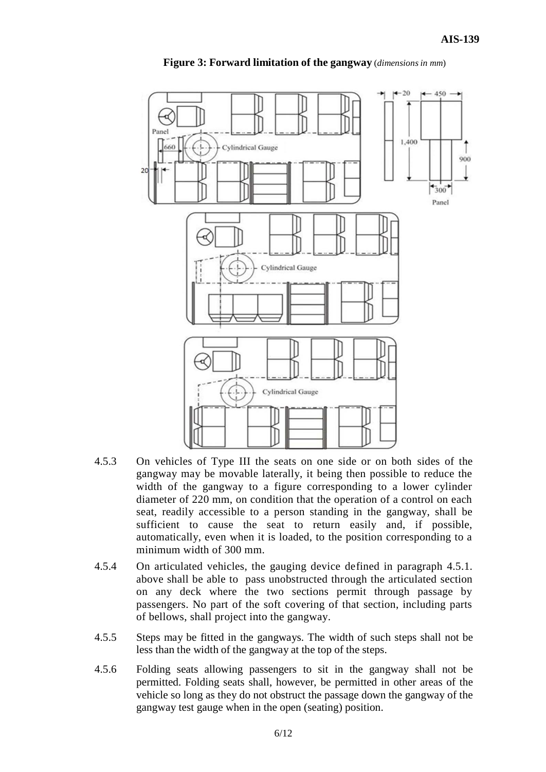

**Figure 3: Forward limitation of the gangway** (*dimensionsin mm*)

- 4.5.3 On vehicles of Type III the seats on one side or on both sides of the gangway may be movable laterally, it being then possible to reduce the width of the gangway to a figure corresponding to a lower cylinder diameter of 220 mm, on condition that the operation of a control on each seat, readily accessible to a person standing in the gangway, shall be sufficient to cause the seat to return easily and, if possible, automatically, even when it is loaded, to the position corresponding to a minimum width of 300 mm.
- 4.5.4 On articulated vehicles, the gauging device defined in paragraph 4.5.1. above shall be able to pass unobstructed through the articulated section on any deck where the two sections permit through passage by passengers. No part of the soft covering of that section, including parts of bellows, shall project into the gangway.
- 4.5.5 Steps may be fitted in the gangways. The width of such steps shall not be less than the width of the gangway at the top of the steps.
- 4.5.6 Folding seats allowing passengers to sit in the gangway shall not be permitted. Folding seats shall, however, be permitted in other areas of the vehicle so long as they do not obstruct the passage down the gangway of the gangway test gauge when in the open (seating) position.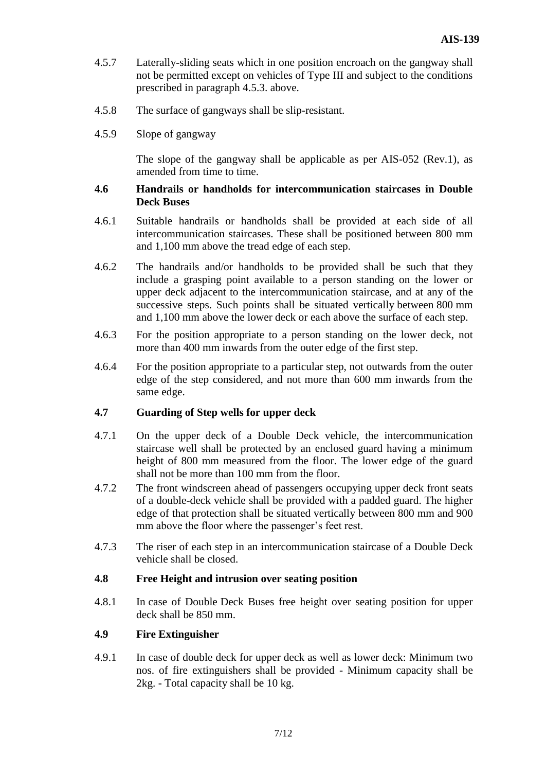- 4.5.7 Laterally-sliding seats which in one position encroach on the gangway shall not be permitted except on vehicles of Type III and subject to the conditions prescribed in paragraph 4.5.3. above.
- 4.5.8 The surface of gangways shall be slip-resistant.
- 4.5.9 Slope of gangway

The slope of the gangway shall be applicable as per AIS-052 (Rev.1), as amended from time to time.

#### **4.6 Handrails or handholds for intercommunication staircases in Double Deck Buses**

- 4.6.1 Suitable handrails or handholds shall be provided at each side of all intercommunication staircases. These shall be positioned between 800 mm and 1,100 mm above the tread edge of each step.
- 4.6.2 The handrails and/or handholds to be provided shall be such that they include a grasping point available to a person standing on the lower or upper deck adjacent to the intercommunication staircase, and at any of the successive steps. Such points shall be situated vertically between 800 mm and 1,100 mm above the lower deck or each above the surface of each step.
- 4.6.3 For the position appropriate to a person standing on the lower deck, not more than 400 mm inwards from the outer edge of the first step.
- 4.6.4 For the position appropriate to a particular step, not outwards from the outer edge of the step considered, and not more than 600 mm inwards from the same edge.

#### **4.7 Guarding of Step wells for upper deck**

- 4.7.1 On the upper deck of a Double Deck vehicle, the intercommunication staircase well shall be protected by an enclosed guard having a minimum height of 800 mm measured from the floor. The lower edge of the guard shall not be more than 100 mm from the floor.
- 4.7.2 The front windscreen ahead of passengers occupying upper deck front seats of a double-deck vehicle shall be provided with a padded guard. The higher edge of that protection shall be situated vertically between 800 mm and 900 mm above the floor where the passenger's feet rest.
- 4.7.3 The riser of each step in an intercommunication staircase of a Double Deck vehicle shall be closed.

#### **4.8 Free Height and intrusion over seating position**

4.8.1 In case of Double Deck Buses free height over seating position for upper deck shall be 850 mm.

#### **4.9 Fire Extinguisher**

4.9.1 In case of double deck for upper deck as well as lower deck: Minimum two nos. of fire extinguishers shall be provided - Minimum capacity shall be 2kg. - Total capacity shall be 10 kg.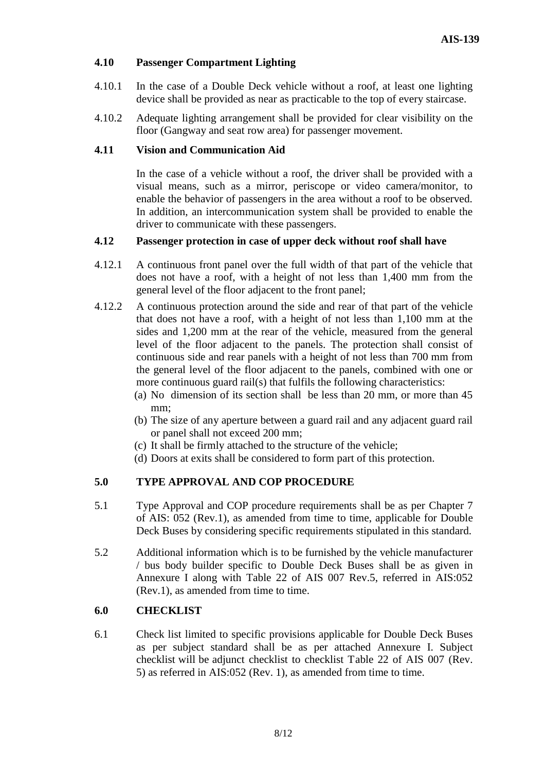## **4.10 Passenger Compartment Lighting**

- 4.10.1 In the case of a Double Deck vehicle without a roof, at least one lighting device shall be provided as near as practicable to the top of every staircase.
- 4.10.2 Adequate lighting arrangement shall be provided for clear visibility on the floor (Gangway and seat row area) for passenger movement.

#### **4.11 Vision and Communication Aid**

In the case of a vehicle without a roof, the driver shall be provided with a visual means, such as a mirror, periscope or video camera/monitor, to enable the behavior of passengers in the area without a roof to be observed. In addition, an intercommunication system shall be provided to enable the driver to communicate with these passengers.

#### **4.12 Passenger protection in case of upper deck without roof shall have**

- 4.12.1 A continuous front panel over the full width of that part of the vehicle that does not have a roof, with a height of not less than 1,400 mm from the general level of the floor adjacent to the front panel;
- 4.12.2 A continuous protection around the side and rear of that part of the vehicle that does not have a roof, with a height of not less than 1,100 mm at the sides and 1,200 mm at the rear of the vehicle, measured from the general level of the floor adjacent to the panels. The protection shall consist of continuous side and rear panels with a height of not less than 700 mm from the general level of the floor adjacent to the panels, combined with one or more continuous guard rail(s) that fulfils the following characteristics:
	- (a) No dimension of its section shall be less than 20 mm, or more than 45 mm;
	- (b) The size of any aperture between a guard rail and any adjacent guard rail or panel shall not exceed 200 mm;
	- (c) It shall be firmly attached to the structure of the vehicle;
	- (d) Doors at exits shall be considered to form part of this protection.

## **5.0 TYPE APPROVAL AND COP PROCEDURE**

- 5.1 Type Approval and COP procedure requirements shall be as per Chapter 7 of AIS: 052 (Rev.1), as amended from time to time, applicable for Double Deck Buses by considering specific requirements stipulated in this standard.
- 5.2 Additional information which is to be furnished by the vehicle manufacturer / bus body builder specific to Double Deck Buses shall be as given in Annexure I along with Table 22 of AIS 007 Rev.5, referred in AIS:052 (Rev.1), as amended from time to time.

## **6.0 CHECKLIST**

6.1 Check list limited to specific provisions applicable for Double Deck Buses as per subject standard shall be as per attached Annexure I. Subject checklist will be adjunct checklist to checklist Table 22 of AIS 007 (Rev. 5) as referred in AIS:052 (Rev. 1), as amended from time to time.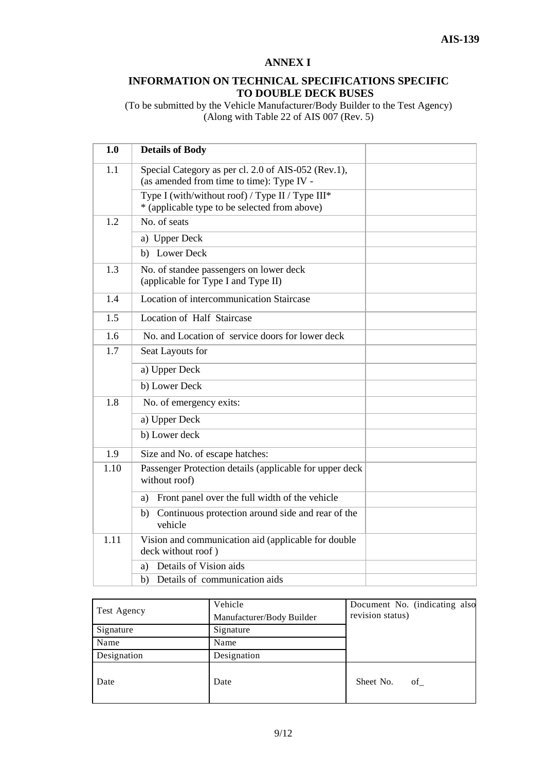#### **ANNEX I**

#### **INFORMATION ON TECHNICAL SPECIFICATIONS SPECIFIC TO DOUBLE DECK BUSES**

(To be submitted by the Vehicle Manufacturer/Body Builder to the Test Agency) (Along with Table 22 of AIS 007 (Rev. 5)

| 1.0  | <b>Details of Body</b>                                                                            |
|------|---------------------------------------------------------------------------------------------------|
| 1.1  | Special Category as per cl. 2.0 of AIS-052 (Rev.1),<br>(as amended from time to time): Type IV -  |
|      | Type I (with/without roof) / Type II / Type III*<br>* (applicable type to be selected from above) |
| 1.2  | No. of seats                                                                                      |
|      | a) Upper Deck                                                                                     |
|      | b) Lower Deck                                                                                     |
| 1.3  | No. of standee passengers on lower deck<br>(applicable for Type I and Type II)                    |
| 1.4  | Location of intercommunication Staircase                                                          |
| 1.5  | Location of Half Staircase                                                                        |
| 1.6  | No. and Location of service doors for lower deck                                                  |
| 1.7  | Seat Layouts for                                                                                  |
|      | a) Upper Deck                                                                                     |
|      | b) Lower Deck                                                                                     |
| 1.8  | No. of emergency exits:                                                                           |
|      | a) Upper Deck                                                                                     |
|      | b) Lower deck                                                                                     |
| 1.9  | Size and No. of escape hatches:                                                                   |
| 1.10 | Passenger Protection details (applicable for upper deck<br>without roof)                          |
|      | Front panel over the full width of the vehicle<br>a)                                              |
|      | Continuous protection around side and rear of the<br>b)<br>vehicle                                |
| 1.11 | Vision and communication aid (applicable for double<br>deck without roof)                         |
|      | Details of Vision aids<br>a)                                                                      |
|      | Details of communication aids<br>b)                                                               |

|             | Vehicle                   | Document No. (indicating also |
|-------------|---------------------------|-------------------------------|
| Test Agency | Manufacturer/Body Builder | revision status)              |
| Signature   | Signature                 |                               |
| Name        | Name                      |                               |
| Designation | Designation               |                               |
| Date        | Date                      | Sheet No.<br>of               |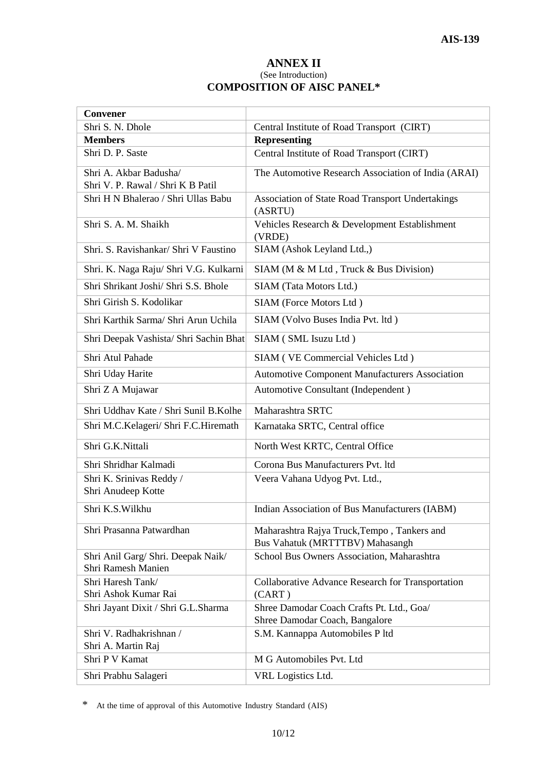#### **ANNEX II** (See Introduction) **COMPOSITION OF AISC PANEL\***

| <b>Convener</b>                               |                                                       |  |  |
|-----------------------------------------------|-------------------------------------------------------|--|--|
| Shri S. N. Dhole                              | Central Institute of Road Transport (CIRT)            |  |  |
| <b>Members</b>                                | <b>Representing</b>                                   |  |  |
| Shri D. P. Saste                              | Central Institute of Road Transport (CIRT)            |  |  |
| Shri A. Akbar Badusha/                        | The Automotive Research Association of India (ARAI)   |  |  |
| Shri V. P. Rawal / Shri K B Patil             |                                                       |  |  |
| Shri H N Bhalerao / Shri Ullas Babu           | Association of State Road Transport Undertakings      |  |  |
|                                               | (ASRTU)                                               |  |  |
| Shri S. A. M. Shaikh                          | Vehicles Research & Development Establishment         |  |  |
|                                               | (VRDE)                                                |  |  |
| Shri. S. Ravishankar/ Shri V Faustino         | SIAM (Ashok Leyland Ltd.,)                            |  |  |
| Shri. K. Naga Raju/ Shri V.G. Kulkarni        | SIAM (M & M Ltd, Truck & Bus Division)                |  |  |
| Shri Shrikant Joshi/ Shri S.S. Bhole          | SIAM (Tata Motors Ltd.)                               |  |  |
| Shri Girish S. Kodolikar                      | SIAM (Force Motors Ltd)                               |  |  |
| Shri Karthik Sarma/ Shri Arun Uchila          | SIAM (Volvo Buses India Pvt. ltd)                     |  |  |
| Shri Deepak Vashista/ Shri Sachin Bhat        | SIAM (SML Isuzu Ltd)                                  |  |  |
| Shri Atul Pahade                              | SIAM (VE Commercial Vehicles Ltd)                     |  |  |
| Shri Uday Harite                              | <b>Automotive Component Manufacturers Association</b> |  |  |
| Shri Z A Mujawar                              | Automotive Consultant (Independent)                   |  |  |
| Shri Uddhav Kate / Shri Sunil B.Kolhe         | Maharashtra SRTC                                      |  |  |
| Shri M.C.Kelageri/ Shri F.C.Hiremath          | Karnataka SRTC, Central office                        |  |  |
| Shri G.K.Nittali                              | North West KRTC, Central Office                       |  |  |
| Shri Shridhar Kalmadi                         | Corona Bus Manufacturers Pvt. ltd                     |  |  |
| Shri K. Srinivas Reddy /                      | Veera Vahana Udyog Pvt. Ltd.,                         |  |  |
| Shri Anudeep Kotte                            |                                                       |  |  |
| Shri K.S.Wilkhu                               | Indian Association of Bus Manufacturers (IABM)        |  |  |
| Shri Prasanna Patwardhan                      | Maharashtra Rajya Truck, Tempo, Tankers and           |  |  |
|                                               | Bus Vahatuk (MRTTTBV) Mahasangh                       |  |  |
| Shri Anil Garg/ Shri. Deepak Naik/            | School Bus Owners Association, Maharashtra            |  |  |
| Shri Ramesh Manien                            |                                                       |  |  |
| Shri Haresh Tank/                             | Collaborative Advance Research for Transportation     |  |  |
| Shri Ashok Kumar Rai                          | (CART)                                                |  |  |
| Shri Jayant Dixit / Shri G.L.Sharma           | Shree Damodar Coach Crafts Pt. Ltd., Goa/             |  |  |
|                                               | Shree Damodar Coach, Bangalore                        |  |  |
| Shri V. Radhakrishnan /<br>Shri A. Martin Raj | S.M. Kannappa Automobiles P ltd                       |  |  |
| Shri P V Kamat                                | M G Automobiles Pvt. Ltd                              |  |  |
| Shri Prabhu Salageri                          | VRL Logistics Ltd.                                    |  |  |

\* At the time of approval of this Automotive Industry Standard (AIS)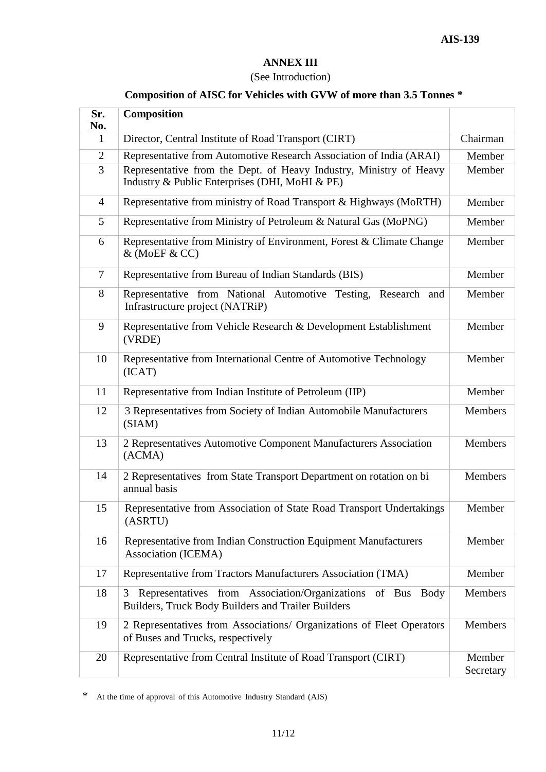#### **ANNEX III**

## (See Introduction)

## **Composition of AISC for Vehicles with GVW of more than 3.5 Tonnes \***

| Sr.<br>No.     | Composition                                                                                                           |                     |
|----------------|-----------------------------------------------------------------------------------------------------------------------|---------------------|
| 1              | Director, Central Institute of Road Transport (CIRT)                                                                  | Chairman            |
| $\overline{2}$ | Representative from Automotive Research Association of India (ARAI)                                                   | Member              |
| 3              | Representative from the Dept. of Heavy Industry, Ministry of Heavy<br>Industry & Public Enterprises (DHI, MoHI & PE)  | Member              |
| $\overline{4}$ | Representative from ministry of Road Transport & Highways (MoRTH)                                                     | Member              |
| 5              | Representative from Ministry of Petroleum & Natural Gas (MoPNG)                                                       | Member              |
| 6              | Representative from Ministry of Environment, Forest & Climate Change<br>& (MoEF & CC)                                 | Member              |
| $\tau$         | Representative from Bureau of Indian Standards (BIS)                                                                  | Member              |
| 8              | Representative from National Automotive Testing, Research and<br>Infrastructure project (NATRiP)                      | Member              |
| 9              | Representative from Vehicle Research & Development Establishment<br>(VRDE)                                            | Member              |
| 10             | Representative from International Centre of Automotive Technology<br>(ICAT)                                           | Member              |
| 11             | Representative from Indian Institute of Petroleum (IIP)                                                               | Member              |
| 12             | 3 Representatives from Society of Indian Automobile Manufacturers<br>(SIAM)                                           | Members             |
| 13             | 2 Representatives Automotive Component Manufacturers Association<br>(ACMA)                                            | Members             |
| 14             | 2 Representatives from State Transport Department on rotation on bi<br>annual basis                                   | <b>Members</b>      |
| 15             | Representative from Association of State Road Transport Undertakings<br>(ASRTU)                                       | Member              |
| 16             | Representative from Indian Construction Equipment Manufacturers<br>Association (ICEMA)                                | Member              |
| 17             | Representative from Tractors Manufacturers Association (TMA)                                                          | Member              |
| 18             | Representatives from Association/Organizations of Bus Body<br>3<br>Builders, Truck Body Builders and Trailer Builders | Members             |
| 19             | 2 Representatives from Associations/ Organizations of Fleet Operators<br>of Buses and Trucks, respectively            | Members             |
| 20             | Representative from Central Institute of Road Transport (CIRT)                                                        | Member<br>Secretary |

\* At the time of approval of this Automotive Industry Standard (AIS)